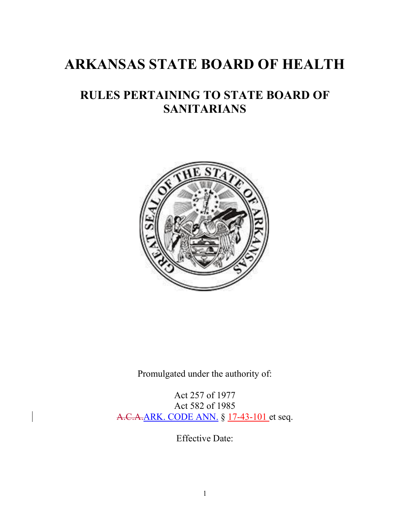# **ARKANSAS STATE BOARD OF HEALTH**

# **RULES PERTAINING TO STATE BOARD OF SANITARIANS**



Promulgated under the authority of:

Act 257 of 1977 Act 582 of 1985 A.C.A.ARK. CODE ANN. § 17-43-101 et seq.

Effective Date: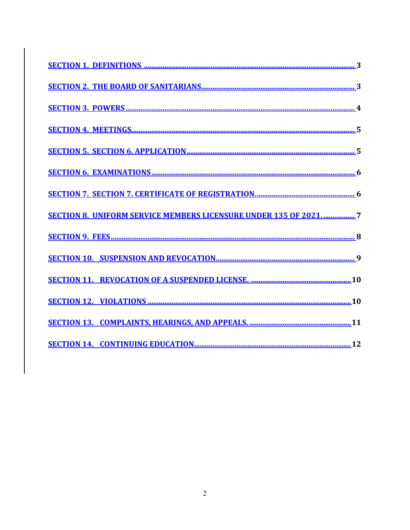| <b>SECTION 8. UNIFORM SERVICE MEMBERS LICENSURE UNDER 135 OF 20217</b> |
|------------------------------------------------------------------------|
|                                                                        |
|                                                                        |
|                                                                        |
|                                                                        |
|                                                                        |
|                                                                        |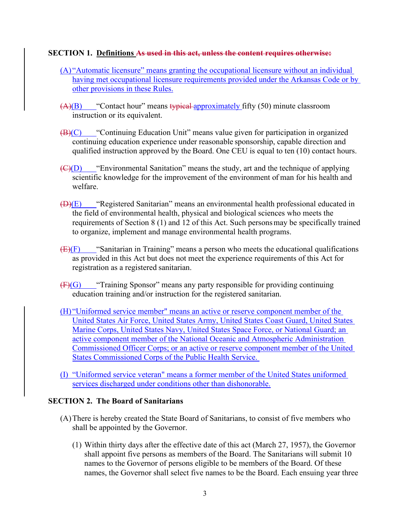#### <span id="page-2-0"></span>**SECTION 1. Definitions As used in this act, unless the content requires otherwise:**

- (A) "Automatic licensure" means granting the occupational licensure without an individual having met occupational licensure requirements provided under the Arkansas Code or by other provisions in these Rules.
- $(A)(B)$  "Contact hour" means typical approximately fifty (50) minute classroom instruction or its equivalent.
- $(B)(C)$  "Continuing Education Unit" means value given for participation in organized continuing education experience under reasonable sponsorship, capable direction and qualified instruction approved by the Board. One CEU is equal to ten (10) contact hours.
- $\left(\frac{C}{D}\right)$  "Environmental Sanitation" means the study, art and the technique of applying scientific knowledge for the improvement of the environment of man for his health and welfare.
- $(\bigoplus)(E)$  "Registered Sanitarian" means an environmental health professional educated in the field of environmental health, physical and biological sciences who meets the requirements of Section 8 (1) and 12 of this Act. Such personsmay be specifically trained to organize, implement and manage environmental health programs.
- $(E)(F)$  "Sanitarian in Training" means a person who meets the educational qualifications as provided in this Act but does not meet the experience requirements of this Act for registration as a registered sanitarian.
- $(F)(G)$  "Training Sponsor" means any party responsible for providing continuing education training and/or instruction for the registered sanitarian.
- (H) "Uniformed service member" means an active or reserve component member of the United States Air Force, United States Army, United States Coast Guard, United States Marine Corps, United States Navy, United States Space Force, or National Guard; an active component member of the National Oceanic and Atmospheric Administration Commissioned Officer Corps; or an active or reserve component member of the United States Commissioned Corps of the Public Health Service.
- (I) "Uniformed service veteran" means a former member of the United States uniformed services discharged under conditions other than dishonorable.

#### <span id="page-2-1"></span>**SECTION 2. The Board of Sanitarians**

- (A)There is hereby created the State Board of Sanitarians, to consist of five members who shall be appointed by the Governor.
	- (1) Within thirty days after the effective date of this act (March 27, 1957), the Governor shall appoint five persons as members of the Board. The Sanitarians will submit 10 names to the Governor of persons eligible to be members of the Board. Of these names, the Governor shall select five names to be the Board. Each ensuing year three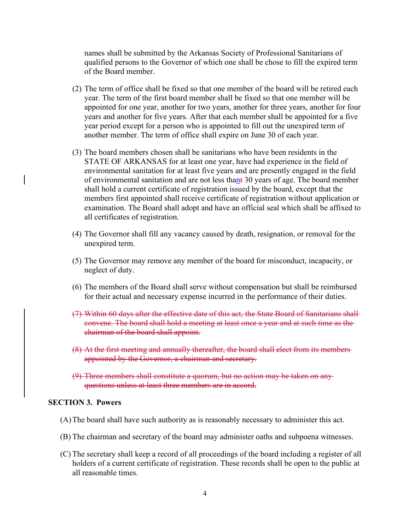names shall be submitted by the Arkansas Society of Professional Sanitarians of qualified persons to the Governor of which one shall be chose to fill the expired term of the Board member.

- (2) The term of office shall be fixed so that one member of the board will be retired each year. The term of the first board member shall be fixed so that one member will be appointed for one year, another for two years, another for three years, another for four years and another for five years. After that each member shall be appointed for a five year period except for a person who is appointed to fill out the unexpired term of another member. The term of office shall expire on June 30 of each year.
- (3) The board members chosen shall be sanitarians who have been residents in the STATE OF ARKANSAS for at least one year, have had experience in the field of environmental sanitation for at least five years and are presently engaged in the field of environmental sanitation and are not less thant 30 years of age. The board member shall hold a current certificate of registration issued by the board, except that the members first appointed shall receive certificate of registration without application or examination. The Board shall adopt and have an official seal which shall be affixed to all certificates of registration.
- (4) The Governor shall fill any vacancy caused by death, resignation, or removal for the unexpired term.
- (5) The Governor may remove any member of the board for misconduct, incapacity, or neglect of duty.
- (6) The members of the Board shall serve without compensation but shall be reimbursed for their actual and necessary expense incurred in the performance of their duties.
- (7) Within 60 days after the effective date of this act, the State Board of Sanitarians shall convene. The board shall hold a meeting at least once a year and at such time as the chairman of the board shall appoint.
- (8) At the first meeting and annually thereafter, the board shall elect from its members appointed by the Governor, a chairman and secretary.
- (9) Three members shall constitute a quorum, but no action may be taken on any questions unless at least three members are in accord.

#### <span id="page-3-0"></span>**SECTION 3. Powers**

- (A)The board shall have such authority as is reasonably necessary to administer this act.
- (B) The chairman and secretary of the board may administer oaths and subpoena witnesses.
- (C) The secretary shall keep a record of all proceedings of the board including a register of all holders of a current certificate of registration. These records shall be open to the public at all reasonable times.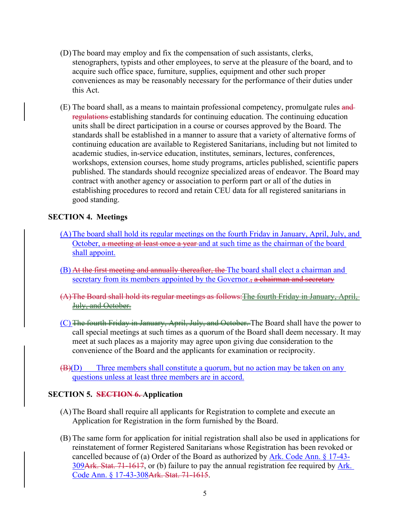- (D)The board may employ and fix the compensation of such assistants, clerks, stenographers, typists and other employees, to serve at the pleasure of the board, and to acquire such office space, furniture, supplies, equipment and other such proper conveniences as may be reasonably necessary for the performance of their duties under this Act.
- (E) The board shall, as a means to maintain professional competency, promulgate rules and regulations establishing standards for continuing education. The continuing education units shall be direct participation in a course or courses approved by the Board. The standards shall be established in a manner to assure that a variety of alternative forms of continuing education are available to Registered Sanitarians, including but not limited to academic studies, in-service education, institutes, seminars, lectures, conferences, workshops, extension courses, home study programs, articles published, scientific papers published. The standards should recognize specialized areas of endeavor. The Board may contract with another agency or association to perform part or all of the duties in establishing procedures to record and retain CEU data for all registered sanitarians in good standing.

#### <span id="page-4-0"></span>**SECTION 4. Meetings**

- (A)The board shall hold its regular meetings on the fourth Friday in January, April, July, and October, a meeting at least once a year and at such time as the chairman of the board shall appoint.
- (B) At the first meeting and annually thereafter, the The board shall elect a chairman and secretary from its members appointed by the Governor., a chairman and secretary
- (A)The Board shall hold its regular meetings as follows:The fourth Friday in January, April, July, and October.
- (C) The fourth Friday in January, April, July, and October. The Board shall have the power to call special meetings at such times as a quorum of the Board shall deem necessary. It may meet at such places as a majority may agree upon giving due consideration to the convenience of the Board and the applicants for examination or reciprocity.
- $(B)(D)$  Three members shall constitute a quorum, but no action may be taken on any questions unless at least three members are in accord.

#### <span id="page-4-1"></span>**SECTION 5. SECTION 6. Application**

- (A)The Board shall require all applicants for Registration to complete and execute an Application for Registration in the form furnished by the Board.
- (B) The same form for application for initial registration shall also be used in applications for reinstatement of former Registered Sanitarians whose Registration has been revoked or cancelled because of (a) Order of the Board as authorized by Ark. Code Ann. § 17-43- 309Ark. Stat. 71-1617, or (b) failure to pay the annual registration fee required by Ark. Code Ann. § 17-43-308Ark. Stat. 71-1615.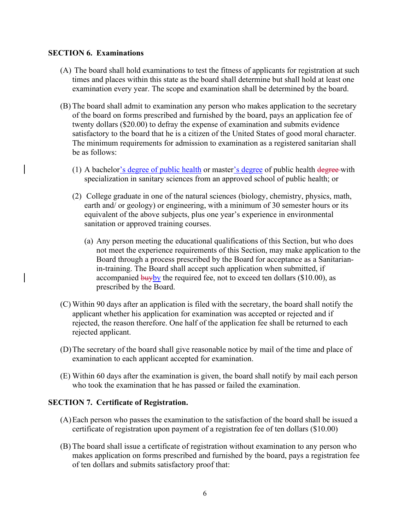#### <span id="page-5-0"></span>**SECTION 6. Examinations**

- (A) The board shall hold examinations to test the fitness of applicants for registration at such times and places within this state as the board shall determine but shall hold at least one examination every year. The scope and examination shall be determined by the board.
- (B) The board shall admit to examination any person who makes application to the secretary of the board on forms prescribed and furnished by the board, pays an application fee of twenty dollars (\$20.00) to defray the expense of examination and submits evidence satisfactory to the board that he is a citizen of the United States of good moral character. The minimum requirements for admission to examination as a registered sanitarian shall be as follows:
	- (1) A bachelor's degree of public health or master's degree of public health degree-with specialization in sanitary sciences from an approved school of public health; or
	- (2) College graduate in one of the natural sciences (biology, chemistry, physics, math, earth and/ or geology) or engineering, with a minimum of 30 semester hours or its equivalent of the above subjects, plus one year's experience in environmental sanitation or approved training courses.
		- (a) Any person meeting the educational qualifications of this Section, but who does not meet the experience requirements of this Section, may make application to the Board through a process prescribed by the Board for acceptance as a Sanitarianin-training. The Board shall accept such application when submitted, if accompanied  $\frac{b u v b v}{c}$  the required fee, not to exceed ten dollars (\$10.00), as prescribed by the Board.
- (C) Within 90 days after an application is filed with the secretary, the board shall notify the applicant whether his application for examination was accepted or rejected and if rejected, the reason therefore. One half of the application fee shall be returned to each rejected applicant.
- (D)The secretary of the board shall give reasonable notice by mail of the time and place of examination to each applicant accepted for examination.
- (E) Within 60 days after the examination is given, the board shall notify by mail each person who took the examination that he has passed or failed the examination.

#### <span id="page-5-1"></span>**SECTION 7. Certificate of Registration.**

- (A)Each person who passes the examination to the satisfaction of the board shall be issued a certificate of registration upon payment of a registration fee of ten dollars (\$10.00)
- (B) The board shall issue a certificate of registration without examination to any person who makes application on forms prescribed and furnished by the board, pays a registration fee of ten dollars and submits satisfactory proof that: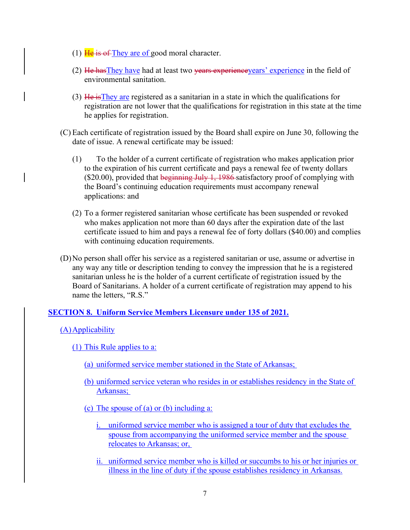- (1)  $\frac{\text{He}}{\text{He}}$  is of They are of good moral character.
- (2) He has They have had at least two vears experience years' experience in the field of environmental sanitation.
- (3) He isThey are registered as a sanitarian in a state in which the qualifications for registration are not lower that the qualifications for registration in this state at the time he applies for registration.
- (C) Each certificate of registration issued by the Board shall expire on June 30, following the date of issue. A renewal certificate may be issued:
	- (1) To the holder of a current certificate of registration who makes application prior to the expiration of his current certificate and pays a renewal fee of twenty dollars  $($20.00)$ , provided that beginning July 1, 1986 satisfactory proof of complying with the Board's continuing education requirements must accompany renewal applications: and
	- (2) To a former registered sanitarian whose certificate has been suspended or revoked who makes application not more than 60 days after the expiration date of the last certificate issued to him and pays a renewal fee of forty dollars (\$40.00) and complies with continuing education requirements.
- (D)No person shall offer his service as a registered sanitarian or use, assume or advertise in any way any title or description tending to convey the impression that he is a registered sanitarian unless he is the holder of a current certificate of registration issued by the Board of Sanitarians. A holder of a current certificate of registration may append to his name the letters, "R.S."

## <span id="page-6-0"></span>**SECTION 8. Uniform Service Members Licensure under 135 of 2021.**

<span id="page-6-1"></span>(A)Applicability

- (1) This Rule applies to a:
	- (a) uniformed service member stationed in the State of Arkansas;
	- (b) uniformed service veteran who resides in or establishes residency in the State of Arkansas;
	- (c) The spouse of (a) or (b) including a:
		- i. uniformed service member who is assigned a tour of duty that excludes the spouse from accompanying the uniformed service member and the spouse relocates to Arkansas; or,
		- ii. uniformed service member who is killed or succumbs to his or her injuries or illness in the line of duty if the spouse establishes residency in Arkansas.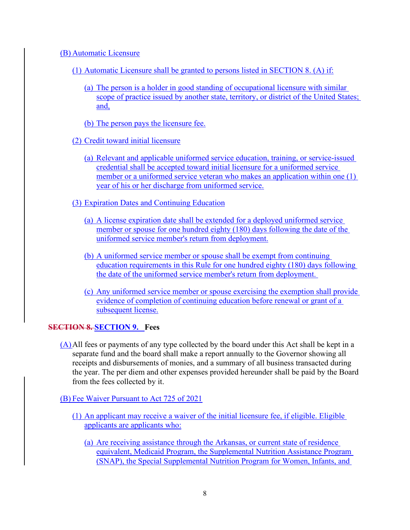#### (B) Automatic Licensure

- (1) Automatic Licensure shall be granted to persons listed in [SECTION 8. \(A\)](#page-6-1) if:
	- (a) The person is a holder in good standing of occupational licensure with similar scope of practice issued by another state, territory, or district of the United States; and,
	- (b) The person pays the licensure fee.
- (2) Credit toward initial licensure
	- (a) Relevant and applicable uniformed service education, training, or service-issued credential shall be accepted toward initial licensure for a uniformed service member or a uniformed service veteran who makes an application within one (1) year of his or her discharge from uniformed service.
- (3) Expiration Dates and Continuing Education
	- (a) A license expiration date shall be extended for a deployed uniformed service member or spouse for one hundred eighty (180) days following the date of the uniformed service member's return from deployment.
	- (b) A uniformed service member or spouse shall be exempt from continuing education requirements in this Rule for one hundred eighty (180) days following the date of the uniformed service member's return from deployment.
	- (c) Any uniformed service member or spouse exercising the exemption shall provide evidence of completion of continuing education before renewal or grant of a subsequent license.

#### <span id="page-7-0"></span>**SECTION 8. SECTION 9. Fees**

(A)All fees or payments of any type collected by the board under this Act shall be kept in a separate fund and the board shall make a report annually to the Governor showing all receipts and disbursements of monies, and a summary of all business transacted during the year. The per diem and other expenses provided hereunder shall be paid by the Board from the fees collected by it.

(B) Fee Waiver Pursuant to Act 725 of 2021

- (1) An applicant may receive a waiver of the initial licensure fee, if eligible. Eligible applicants are applicants who:
	- (a) Are receiving assistance through the Arkansas, or current state of residence equivalent, Medicaid Program, the Supplemental Nutrition Assistance Program (SNAP), the Special Supplemental Nutrition Program for Women, Infants, and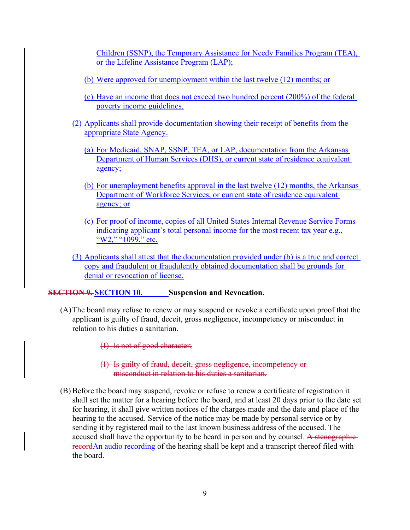Children (SSNP), the Temporary Assistance for Needy Families Program (TEA), or the Lifeline Assistance Program (LAP);

- (b) Were approved for unemployment within the last twelve (12) months; or
- (c) Have an income that does not exceed two hundred percent (200%) of the federal poverty income guidelines.
- (2) Applicants shall provide documentation showing their receipt of benefits from the appropriate State Agency.
	- (a) For Medicaid, SNAP, SSNP, TEA, or LAP, documentation from the Arkansas Department of Human Services (DHS), or current state of residence equivalent agency;
	- (b) For unemployment benefits approval in the last twelve (12) months, the Arkansas Department of Workforce Services, or current state of residence equivalent agency; or
	- (c) For proof of income, copies of all United States Internal Revenue Service Forms indicating applicant's total personal income for the most recent tax year e.g., "W2," "1099," etc.
- (3) Applicants shall attest that the documentation provided under (b) is a true and correct copy and fraudulent or fraudulently obtained documentation shall be grounds for denial or revocation of license.

<span id="page-8-0"></span>**SECTION 9. SECTION 10.** Suspension and Revocation.

(A)The board may refuse to renew or may suspend or revoke a certificate upon proof that the applicant is guilty of fraud, deceit, gross negligence, incompetency or misconduct in relation to his duties a sanitarian.

(1) Is not of good character;

- (1) Is guilty of fraud, deceit, gross negligence, incompetency or misconduct in relation to his duties a sanitarian.
- (B) Before the board may suspend, revoke or refuse to renew a certificate of registration it shall set the matter for a hearing before the board, and at least 20 days prior to the date set for hearing, it shall give written notices of the charges made and the date and place of the hearing to the accused. Service of the notice may be made by personal service or by sending it by registered mail to the last known business address of the accused. The accused shall have the opportunity to be heard in person and by counsel. A stenographicrecordAn audio recording of the hearing shall be kept and a transcript thereof filed with the board.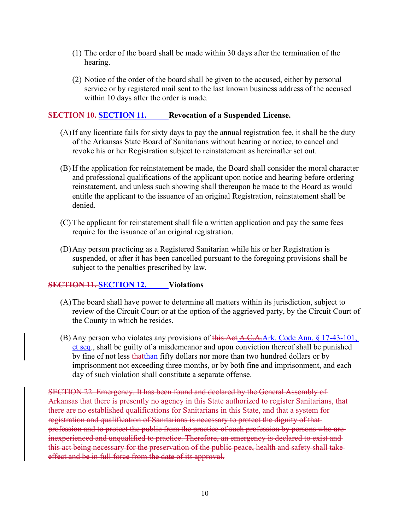- (1) The order of the board shall be made within 30 days after the termination of the hearing.
- (2) Notice of the order of the board shall be given to the accused, either by personal service or by registered mail sent to the last known business address of the accused within 10 days after the order is made.

#### <span id="page-9-0"></span>**SECTION 10. SECTION 11. Revocation of a Suspended License.**

- (A)If any licentiate fails for sixty days to pay the annual registration fee, it shall be the duty of the Arkansas State Board of Sanitarians without hearing or notice, to cancel and revoke his or her Registration subject to reinstatement as hereinafter set out.
- (B) If the application for reinstatement be made, the Board shall consider the moral character and professional qualifications of the applicant upon notice and hearing before ordering reinstatement, and unless such showing shall thereupon be made to the Board as would entitle the applicant to the issuance of an original Registration, reinstatement shall be denied.
- (C) The applicant for reinstatement shall file a written application and pay the same fees require for the issuance of an original registration.
- (D)Any person practicing as a Registered Sanitarian while his or her Registration is suspended, or after it has been cancelled pursuant to the foregoing provisions shall be subject to the penalties prescribed by law.

## <span id="page-9-1"></span>**SECTION 11. SECTION 12. Violations**

- (A)The board shall have power to determine all matters within its jurisdiction, subject to review of the Circuit Court or at the option of the aggrieved party, by the Circuit Court of the County in which he resides.
- (B) Any person who violates any provisions of this Act  $A, C, A, Ark$ . Code Ann. § 17-43-101, et seq., shall be guilty of a misdemeanor and upon conviction thereof shall be punished by fine of not less that than fifty dollars nor more than two hundred dollars or by imprisonment not exceeding three months, or by both fine and imprisonment, and each day of such violation shall constitute a separate offense.

SECTION 22. Emergency. It has been found and declared by the General Assembly of Arkansas that there is presently no agency in this State authorized to register Sanitarians, that there are no established qualifications for Sanitarians in this State, and that a system for registration and qualification of Sanitarians is necessary to protect the dignity of that profession and to protect the public from the practice of such profession by persons who are inexperienced and unqualified to practice. Therefore, an emergency is declared to exist and this act being necessary for the preservation of the public peace, health and safety shall take effect and be in full force from the date of its approval.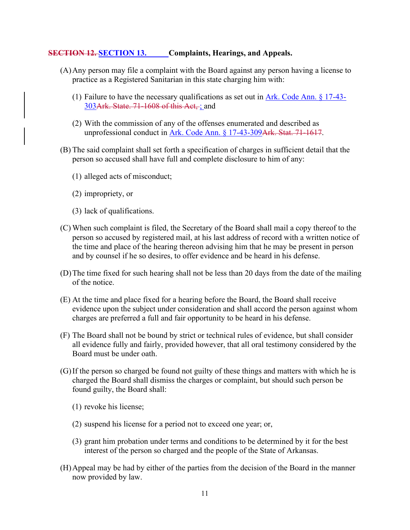#### <span id="page-10-0"></span>**SECTION 12. SECTION 13. Complaints, Hearings, and Appeals.**

- (A)Any person may file a complaint with the Board against any person having a license to practice as a Registered Sanitarian in this state charging him with:
	- (1) Failure to have the necessary qualifications as set out in Ark. Code Ann. § 17-43- 303Ark. State. 71-1608 of this Act, ; and
	- (2) With the commission of any of the offenses enumerated and described as unprofessional conduct in Ark. Code Ann. § 17-43-309Ark. Stat. 71-1617.
- (B) The said complaint shall set forth a specification of charges in sufficient detail that the person so accused shall have full and complete disclosure to him of any:
	- (1) alleged acts of misconduct;
	- (2) impropriety, or
	- (3) lack of qualifications.
- (C) When such complaint is filed, the Secretary of the Board shall mail a copy thereof to the person so accused by registered mail, at his last address of record with a written notice of the time and place of the hearing thereon advising him that he may be present in person and by counsel if he so desires, to offer evidence and be heard in his defense.
- (D)The time fixed for such hearing shall not be less than 20 days from the date of the mailing of the notice.
- (E) At the time and place fixed for a hearing before the Board, the Board shall receive evidence upon the subject under consideration and shall accord the person against whom charges are preferred a full and fair opportunity to be heard in his defense.
- (F) The Board shall not be bound by strict or technical rules of evidence, but shall consider all evidence fully and fairly, provided however, that all oral testimony considered by the Board must be under oath.
- (G)If the person so charged be found not guilty of these things and matters with which he is charged the Board shall dismiss the charges or complaint, but should such person be found guilty, the Board shall:
	- (1) revoke his license;
	- (2) suspend his license for a period not to exceed one year; or,
	- (3) grant him probation under terms and conditions to be determined by it for the best interest of the person so charged and the people of the State of Arkansas.
- (H)Appeal may be had by either of the parties from the decision of the Board in the manner now provided by law.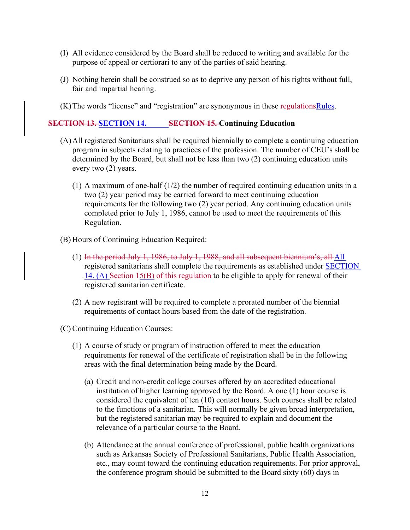- (I) All evidence considered by the Board shall be reduced to writing and available for the purpose of appeal or certiorari to any of the parties of said hearing.
- (J) Nothing herein shall be construed so as to deprive any person of his rights without full, fair and impartial hearing.
- (K) The words "license" and "registration" are synonymous in these regulations Rules.

#### <span id="page-11-0"></span>**SECTION 13. SECTION 14. SECTION 15. Continuing Education**

- <span id="page-11-1"></span>(A)All registered Sanitarians shall be required biennially to complete a continuing education program in subjects relating to practices of the profession. The number of CEU's shall be determined by the Board, but shall not be less than two (2) continuing education units every two (2) years.
	- (1) A maximum of one-half  $(1/2)$  the number of required continuing education units in a two (2) year period may be carried forward to meet continuing education requirements for the following two (2) year period. Any continuing education units completed prior to July 1, 1986, cannot be used to meet the requirements of this Regulation.
- (B) Hours of Continuing Education Required:
	- (1) In the period July 1, 1986, to July 1, 1988, and all subsequent biennium's, all All registered sanitarians shall complete the requirements as established under **SECTION** [14. \(A\)](#page-11-1) Section 15(B) of this regulation to be eligible to apply for renewal of their registered sanitarian certificate.
	- (2) A new registrant will be required to complete a prorated number of the biennial requirements of contact hours based from the date of the registration.
- (C) Continuing Education Courses:
	- (1) A course of study or program of instruction offered to meet the education requirements for renewal of the certificate of registration shall be in the following areas with the final determination being made by the Board.
		- (a) Credit and non-credit college courses offered by an accredited educational institution of higher learning approved by the Board. A one (1) hour course is considered the equivalent of ten (10) contact hours. Such courses shall be related to the functions of a sanitarian. This will normally be given broad interpretation, but the registered sanitarian may be required to explain and document the relevance of a particular course to the Board.
		- (b) Attendance at the annual conference of professional, public health organizations such as Arkansas Society of Professional Sanitarians, Public Health Association, etc., may count toward the continuing education requirements. For prior approval, the conference program should be submitted to the Board sixty (60) days in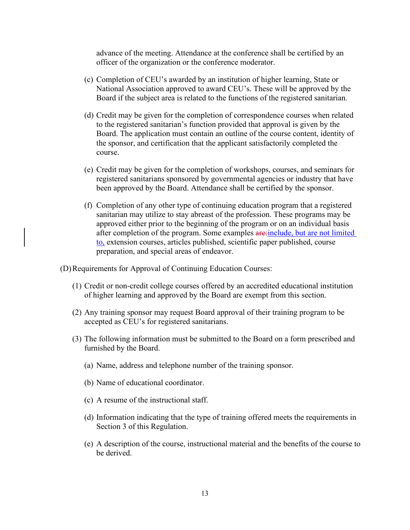advance of the meeting. Attendance at the conference shall be certified by an officer of the organization or the conference moderator.

- (c) Completion of CEU's awarded by an institution of higher learning, State or National Association approved to award CEU's. These will be approved by the Board if the subject area is related to the functions of the registered sanitarian.
- (d) Credit may be given for the completion of correspondence courses when related to the registered sanitarian's function provided that approval is given by the Board. The application must contain an outline of the course content, identity of the sponsor, and certification that the applicant satisfactorily completed the course.
- (e) Credit may be given for the completion of workshops, courses, and seminars for registered sanitarians sponsored by governmental agencies or industry that have been approved by the Board. Attendance shall be certified by the sponsor.
- (f) Completion of any other type of continuing education program that a registered sanitarian may utilize to stay abreast of the profession. These programs may be approved either prior to the beginning of the program or on an individual basis after completion of the program. Some examples are include, but are not limited to, extension courses, articles published, scientific paper published, course preparation, and special areas of endeavor.
- (D)Requirements for Approval of Continuing Education Courses:
	- (1) Credit or non-credit college courses offered by an accredited educational institution of higher learning and approved by the Board are exempt from this section.
	- (2) Any training sponsor may request Board approval of their training program to be accepted as CEU's for registered sanitarians.
	- (3) The following information must be submitted to the Board on a form prescribed and furnished by the Board.
		- (a) Name, address and telephone number of the training sponsor.
		- (b) Name of educational coordinator.
		- (c) A resume of the instructional staff.
		- (d) Information indicating that the type of training offered meets the requirements in Section 3 of this Regulation.
		- (e) A description of the course, instructional material and the benefits of the course to be derived.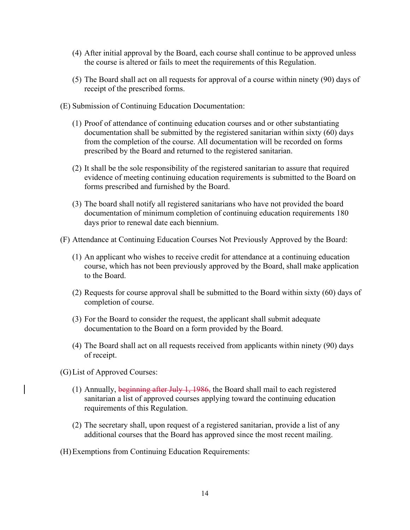- (4) After initial approval by the Board, each course shall continue to be approved unless the course is altered or fails to meet the requirements of this Regulation.
- (5) The Board shall act on all requests for approval of a course within ninety (90) days of receipt of the prescribed forms.
- (E) Submission of Continuing Education Documentation:
	- (1) Proof of attendance of continuing education courses and or other substantiating documentation shall be submitted by the registered sanitarian within sixty (60) days from the completion of the course. All documentation will be recorded on forms prescribed by the Board and returned to the registered sanitarian.
	- (2) It shall be the sole responsibility of the registered sanitarian to assure that required evidence of meeting continuing education requirements is submitted to the Board on forms prescribed and furnished by the Board.
	- (3) The board shall notify all registered sanitarians who have not provided the board documentation of minimum completion of continuing education requirements 180 days prior to renewal date each biennium.
- (F) Attendance at Continuing Education Courses Not Previously Approved by the Board:
	- (1) An applicant who wishes to receive credit for attendance at a continuing education course, which has not been previously approved by the Board, shall make application to the Board.
	- (2) Requests for course approval shall be submitted to the Board within sixty (60) days of completion of course.
	- (3) For the Board to consider the request, the applicant shall submit adequate documentation to the Board on a form provided by the Board.
	- (4) The Board shall act on all requests received from applicants within ninety (90) days of receipt.
- (G)List of Approved Courses:
	- (1) Annually, beginning after July 1, 1986, the Board shall mail to each registered sanitarian a list of approved courses applying toward the continuing education requirements of this Regulation.
	- (2) The secretary shall, upon request of a registered sanitarian, provide a list of any additional courses that the Board has approved since the most recent mailing.
- (H)Exemptions from Continuing Education Requirements: